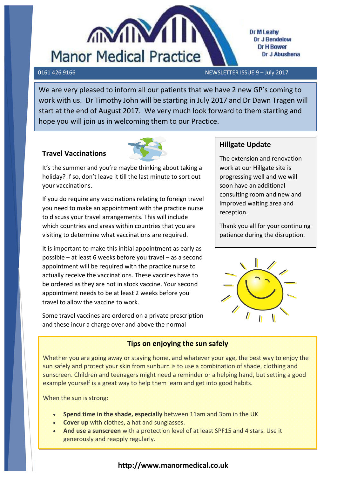

Dr M Leahy Dr J Bendelow **Dr H Bower** Dr J Abushena

0161 426 9166 NEWSLETTER ISSUE 9 – July 2017

We are very pleased to inform all our patients that we have 2 new GP's coming to work with us. Dr Timothy John will be starting in July 2017 and Dr Dawn Tragen will start at the end of August 2017. We very much look forward to them starting and hope you will join us in welcoming them to our Practice.

## **Travel Vaccinations**



It's the summer and you're maybe thinking about taking a holiday? If so, don't leave it till the last minute to sort out your vaccinations.

 visiting to determine what vaccinations are required. If you do require any vaccinations relating to foreign travel you need to make an appointment with the practice nurse to discuss your travel arrangements. This will include which countries and areas within countries that you are

It is important to make this initial appointment as early as possible – at least 6 weeks before you travel – as a second [appointment will b](https://www.google.co.uk/url?url=https://www.pinterest.com/medspring/allergies-are-the-worst/&rct=j&frm=1&q=&esrc=s&sa=U&ved=0ahUKEwjIuoHA5f7UAhWiL8AKHU9VCjo4FBDBbggcMAM&usg=AFQjCNHde-cKHz_U2OluSVAxWUwe9QClfw)e required with the practice nurse to actually receive the vaccinations. These vaccines have to be ordered as they are not in stock vaccine. Your second appointment needs to be at least 2 weeks before you travel to allow the vaccine to work.

Some travel vaccines are ordered on a private prescription and these incur a charge over and above the normal

prescription charge. This is because not all travel vaccinations

# **Hillgate Update**

The extension and renovation work at our Hillgate site is progressing well and we will soon have an additional consulting room and new and improved waiting area and reception.

Thank you all for your continuing patience during the disruption.



# **Tips on enjoying the sun safely**

Whether you are going away or staying home, and whatever your age, the best way to enjoy the sun safely and protect your skin from sunburn is to use a combination of shade, clothing and sunscreen. Children and teenagers might need a reminder or a helping hand, but setting a good example yourself is a great way to help them learn and get into good habits.

When the sun is strong:

- **Spend time in the shade, especially** between 11am and 3pm in the UK
- **Cover up** with clothes, a hat and sunglasses.
- **And use a sunscreen** with a protection level of at least SPF15 and 4 stars. Use it generously and reapply regularly.

## **http://www.manormedical.co.uk**